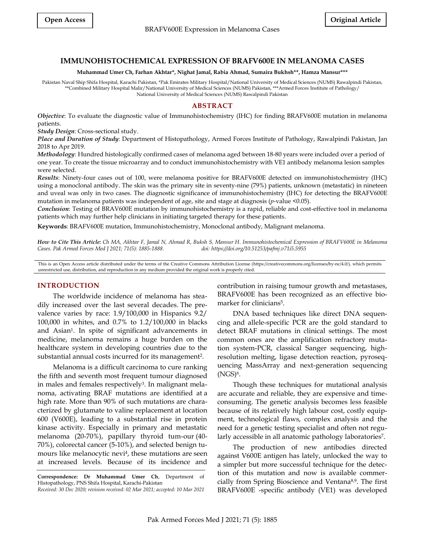# **IMMUNOHISTOCHEMICAL EXPRESSION OF BRAFV600E IN MELANOMA CASES**

#### **Muhammad Umer Ch, Farhan Akhtar\*, Nighat Jamal, Rabia Ahmad, Sumaira Bukhsh\*\*, Hamza Mansur\*\*\***

Pakistan Naval Ship Shifa Hospital, Karachi Pakistan, \*Pak Emirates Military Hospital/National University of Medical Sciences (NUMS) Rawalpindi Pakistan, \*\*Combined Military Hospital Malir/National University of Medical Sciences (NUMS) Pakistan, \*\*\*Armed Forces Institute of Pathology/ National University of Medical Sciences (NUMS) Rawalpindi Pakistan

### **ABSTRACT**

*Objective*: To evaluate the diagnostic value of Immunohistochemistry (IHC) for finding BRAFV600E mutation in melanoma patients.

*Study Design*: Cross-sectional study.

*Place and Duration of Study*: Department of Histopathology, Armed Forces Institute of Pathology, Rawalpindi Pakistan, Jan 2018 to Apr 2019.

*Methodology*: Hundred histologically confirmed cases of melanoma aged between 18-80 years were included over a period of one year. To create the tissue microarray and to conduct immunohistochemistry with VE1 antibody melanoma lesion samples were selected.

*Results*: Ninety-four cases out of 100, were melanoma positive for BRAFV600E detected on immunohistochemistry (IHC) using a monoclonal antibody. The skin was the primary site in seventy-nine (79%) patients, unknown (metastatic) in nineteen and uveal was only in two cases. The diagnostic significance of immunohistochemistry (IHC) for detecting the BRAFV600E mutation in melanoma patients was independent of age, site and stage at diagnosis (*p*-value <0.05).

*Conclusion*: Testing of BRAV600E mutation by immunohistochemistry is a rapid, reliable and cost-effective tool in melanoma patients which may further help clinicians in initiating targeted therapy for these patients.

**Keywords**: BRAFV600E mutation, Immunohistochemistry, Monoclonal antibody, Malignant melanoma.

*How to Cite This Article: Ch MA, Akhtar F, Jamal N, Ahmad R, Buksh S, Mansur H. Immunohistochemical Expression of BRAFV600E in Melanoma Cases. Pak Armed Forces Med J 2021; 71(5): 1885-1888. doi: https://doi.org/10.51253/pafmj.v71i5.5955*

This is an Open Access article distributed under the terms of the Creative Commons Attribution License (https://creativecommons.org/licenses/by-nc/4.0/), which permits unrestricted use, distribution, and reproduction in any medium provided the original work is properly cited.

# **INTRODUCTION**

The worldwide incidence of melanoma has steadily increased over the last several decades. The prevalence varies by race: 1.9/100,000 in Hispanics 9.2/ 100,000 in whites, and 0.7% to 1.2/100,000 in blacks and Asian<sup>1</sup> . In spite of significant advancements in medicine, melanoma remains a huge burden on the healthcare system in developing countries due to the substantial annual costs incurred for its management<sup>2</sup>.

Melanoma is a difficult carcinoma to cure ranking the fifth and seventh most frequent tumour diagnosed in males and females respectively<sup>3</sup>. In malignant melanoma, activating BRAF mutations are identified at a high rate. More than 90% of such mutations are characterized by glutamate to valine replacement at location 600 (V600E), leading to a substantial rise in protein kinase activity. Especially in primary and metastatic melanoma (20-70%), papillary thyroid tum-our (40- 70%), colorectal cancer (5-10%), and selected benign tumours like melanocytic nevi<sup>4</sup>, these mutations are seen at increased levels. Because of its incidence and

**Correspondence: Dr Muhammad Umer Ch**, Department of Histopathology, PNS Shifa Hospital, Karachi-Pakistan

*Received: 30 Dec 2020; revision received: 02 Mar 2021; accepted: 10 Mar 2021* 

contribution in raising tumour growth and metastases, BRAFV600E has been recognized as an effective biomarker for clinicians<sup>5</sup>.

DNA based techniques like direct DNA sequencing and allele-specific PCR are the gold standard to detect BRAF mutations in clinical settings. The most common ones are the amplification refractory mutation system-PCR, classical Sanger sequencing, highresolution melting, ligase detection reaction, pyrosequencing MassArray and next-generation sequencing (NGS)<sup>6</sup>.

Though these techniques for mutational analysis are accurate and reliable, they are expensive and timeconsuming. The genetic analysis becomes less feasible because of its relatively high labour cost, costly equipment, technological flaws, complex analysis and the need for a genetic testing specialist and often not regularly accessible in all anatomic pathology laboratories<sup>7</sup> .

The production of new antibodies directed against V600E antigen has lately, unlocked the way to a simpler but more successful technique for the detection of this mutation and now is available commercially from Spring Bioscience and Ventana 8,9. The first BRAFV600E -specific antibody (VE1) was developed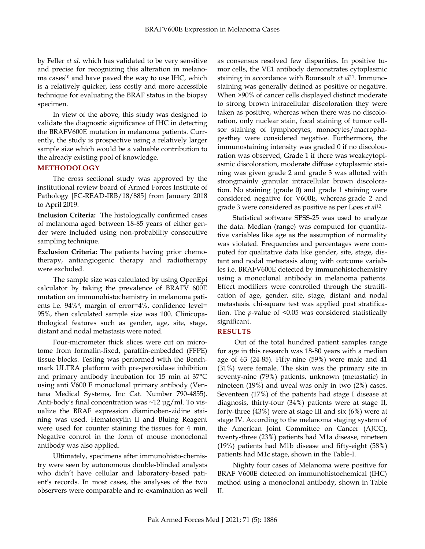by Feller *et al,* which has validated to be very sensitive and precise for recognizing this alteration in melanoma cases<sup>10</sup> and have paved the way to use IHC, which is a relatively quicker, less costly and more accessible technique for evaluating the BRAF status in the biopsy specimen.

In view of the above, this study was designed to validate the diagnostic significance of IHC in detecting the BRAFV600E mutation in melanoma patients. Currently, the study is prospective using a relatively larger sample size which would be a valuable contribution to the already existing pool of knowledge.

# **METHODOLOGY**

The cross sectional study was approved by the institutional review board of Armed Forces Institute of Pathology [FC-READ-IRB/18/885] from January 2018 to April 2019.

**Inclusion Criteria:** The histologically confirmed cases of melanoma aged between 18-85 years of either gender were included using non-probability consecutive sampling technique.

**Exclusion Criteria:** The patients having prior chemotherapy, antiangiogenic therapy and radiotherapy were excluded.

 The sample size was calculated by using OpenEpi calculator by taking the prevalence of BRAFV 600E mutation on immunohistochemistry in melanoma patients i.e. 94%<sup>8</sup> , margin of error=4%, confidence level= 95%, then calculated sample size was 100. Clinicopathological features such as gender, age, site, stage, distant and nodal metastasis were noted.

Four-micrometer thick slices were cut on microtome from formalin-fixed, paraffin-embedded (FFPE) tissue blocks. Testing was performed with the Benchmark ULTRA platform with pre-peroxidase inhibition and primary antibody incubation for 15 min at 37°C using anti V600 E monoclonal primary antibody (Ventana Medical Systems, Inc Cat. Number 790-4855). Anti-body's final concentration was ~12 μg/ml. To visualize the BRAF expression diaminoben-zidine staining was used. Hematoxylin II and Bluing Reagent were used for counter staining the tissues for 4 min. Negative control in the form of mouse monoclonal antibody was also applied.

Ultimately, specimens after immunohisto-chemistry were seen by autonomous double-blinded analysts who didn't have cellular and laboratory-based patient's records. In most cases, the analyses of the two observers were comparable and re-examination as well as consensus resolved few disparities. In positive tumor cells, the VE1 antibody demonstrates cytoplasmic staining in accordance with Boursault *et al*11. Immunostaining was generally defined as positive or negative. When >90% of cancer cells displayed distinct moderate to strong brown intracellular discoloration they were taken as positive, whereas when there was no discoloration, only nuclear stain, focal staining of tumor cellsor staining of lymphocytes, monocytes/macrophagesthey were considered negative. Furthermore, the immunostaining intensity was graded 0 if no discolouration was observed, Grade 1 if there was weakcytoplasmic discoloration, moderate diffuse cytoplasmic staining was given grade 2 and grade 3 was alloted with strongmainly granular intracellular brown discoloration. No staining (grade 0) and grade 1 staining were considered negative for V600E, whereas grade 2 and grade 3 were considered as positive as per Løes *et al*<sup>12</sup> .

Statistical software SPSS-25 was used to analyze the data. Median (range) was computed for quantitative variables like age as the assumption of normality was violated. Frequencies and percentages were computed for qualitative data like gender, site, stage, distant and nodal metastasis along with outcome variables i.e. BRAFV600E detected by immunohistochemistry using a monoclonal antibody in melanoma patients. Effect modifiers were controlled through the stratification of age, gender, site, stage, distant and nodal metastasis. chi-square test was applied post stratification. The *p*-value of <0.05 was considered statistically significant.

# **RESULTS**

Out of the total hundred patient samples range for age in this research was 18-80 years with a median age of 63 (24-85). Fifty-nine (59%) were male and 41 (31%) were female. The skin was the primary site in seventy-nine (79%) patients, unknown (metastatic) in nineteen (19%) and uveal was only in two (2%) cases. Seventeen (17%) of the patients had stage I disease at diagnosis, thirty-four (34%) patients were at stage II, forty-three (43%) were at stage III and six (6%) were at stage IV. According to the melanoma staging system of the American Joint Committee on Cancer (AJCC), twenty-three (23%) patients had M1a disease, nineteen (19%) patients had M1b disease and fifty-eight (58%) patients had M1c stage, shown in the Table-I.

Nighty four cases of Melanoma were positive for BRAF V600E detected on immunohistochemical (IHC) method using a monoclonal antibody, shown in Table II.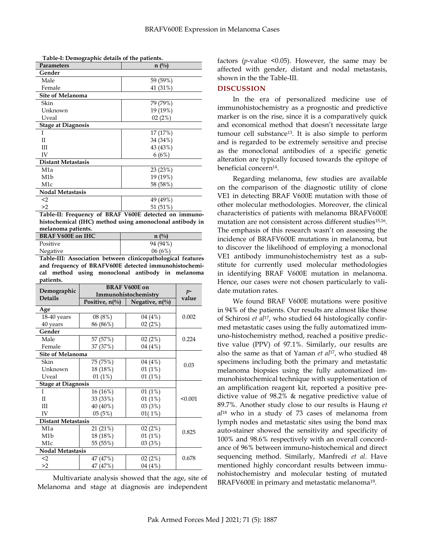| Parameters                | $n(^{0}_{0})$ |  |  |
|---------------------------|---------------|--|--|
| Gender                    |               |  |  |
| Male                      | 59 (59%)      |  |  |
| Female                    | 41 (31%)      |  |  |
| <b>Site of Melanoma</b>   |               |  |  |
| Skin                      | 79 (79%)      |  |  |
| Unknown                   | 19 (19%)      |  |  |
| Uveal                     | 02(2%)        |  |  |
| <b>Stage at Diagnosis</b> |               |  |  |
| I                         | 17 (17%)      |  |  |
| П                         | 34 (34%)      |  |  |
| Ш                         | 43 (43%)      |  |  |
| IV                        | 6(6%)         |  |  |
| <b>Distant Metastasis</b> |               |  |  |
| M1a                       | 23(23%)       |  |  |
| M1b                       | 19 (19%)      |  |  |
| M <sub>1</sub> c          | 58 (58%)      |  |  |
| Nodal Metastasis          |               |  |  |
| $2$                       | 49 (49%)      |  |  |
| >2                        | 51 (51%)      |  |  |

**Table-I: Demographic details of the patients.**

**Table-II: Frequency of BRAF V600E detected on immunohistochemical (IHC) method using amonoclonal antibody in melanoma patients.**

| <b>BRAF V600E on IHC</b> | $n \frac{0}{0}$ |
|--------------------------|-----------------|
| Positive                 | 94 (94%)        |
| Negative                 | 06(6%)          |

**Table-III: Association between clinicopathological features and frequency of BRAFV600E detected immunohistochemical method using monoclonal antibody in melanoma patients.**

|                               | <b>BRAF V600E on</b>      |                           | $p-$<br>value |
|-------------------------------|---------------------------|---------------------------|---------------|
| Demographic<br><b>Details</b> | Immunohistochemistry      |                           |               |
|                               | Positive, $n\binom{0}{0}$ | Negative, $n\binom{0}{0}$ |               |
| Age                           |                           |                           |               |
| 18-40 years                   | 08 (8%)                   | 04 (4%)                   | 0.002         |
| 40 years                      | 86 (86%)                  | 02(2%)                    |               |
| Gender                        |                           |                           |               |
| Male                          | 57 (57%)                  | 02(2%)                    | 0.224         |
| Female                        | 37 (37%)                  | 04 (4%)                   |               |
| <b>Site of Melanoma</b>       |                           |                           |               |
| Skin                          | 75 (75%)                  | 04 (4%)                   | 0.03          |
| Unknown                       | 18 (18%)                  | 01(1%)                    |               |
| Uveal                         | 01(1%)                    | 01(1%)                    |               |
| <b>Stage at Diagnosis</b>     |                           |                           |               |
| T                             | 16 (16%)                  | 01(1%)                    | < 0.001       |
| $\mathbf{I}$                  | 33 (33%)                  | 01(1%)                    |               |
| Ш                             | 40 (40%)                  | 03(3%)                    |               |
| IV                            | 05(5%)                    | 01(1%)                    |               |
| <b>Distant Metastasis</b>     |                           |                           |               |
| M <sub>1</sub> a              | 21 (21%)                  | 02(2%)                    | 0.825         |
| M1b                           | 18 (18%)                  | 01(1%)                    |               |
| M1c                           | 55 (55%)                  | 03(3%)                    |               |
| Nodal Metastasis              |                           |                           |               |
| $2$                           | 47 (47%)                  | 02(2%)                    | 0.678         |
| >2                            | 47 (47%)                  | 04 (4%)                   |               |

Multivariate analysis showed that the age, site of Melanoma and stage at diagnosis are independent factors (*p*-value <0.05). However, the same may be affected with gender, distant and nodal metastasis, shown in the the Table-III.

#### **DISCUSSION**

In the era of personalized medicine use of immunohistochemistry as a prognostic and predictive marker is on the rise, since it is a comparatively quick and economical method that doesn't necessitate large tumour cell substance13. It is also simple to perform and is regarded to be extremely sensitive and precise as the monoclonal antibodies of a specific genetic alteration are typically focused towards the epitope of beneficial concern<sup>14</sup> .

Regarding melanoma, few studies are available on the comparison of the diagnostic utility of clone VE1 in detecting BRAF V600E mutation with those of other molecular methodologies. Moreover, the clinical characteristics of patients with melanoma BRAFV600E mutation are not consistent across different studies<sup>15,16</sup>. The emphasis of this research wasn't on assessing the incidence of BRAFV600E mutations in melanoma, but to discover the likelihood of employing a monoclonal VE1 antibody immunohistochemistry test as a substitute for currently used molecular methodologies in identifying BRAF V600E mutation in melanoma. Hence, our cases were not chosen particularly to validate mutation rates.

We found BRAF V600E mutations were positive in 94% of the patients. Our results are almost like those of Schirosi *et al*17, who studied 64 histologically confirmed metastatic cases using the fully automatized immuno-histochemistry method, reached a positive predictive value (PPV) of 97.1%. Similarly, our results are also the same as that of Yaman *et al*17, who studied 48 specimens including both the primary and metastatic melanoma biopsies using the fully automatized immunohistochemical technique with supplementation of an amplification reagent kit, reported a positive predictive value of 98.2% & negative predictive value of 89.7%. Another study close to our results is Haung *et al*<sup>18</sup> who in a study of 73 cases of melanoma from lymph nodes and metastatic sites using the bond max auto-stainer showed the sensitivity and specificity of 100% and 98.6% respectively with an overall concordance of 96% between immuno-histochemical and direct sequencing method. Similarly, Manfredi *et al*. Have mentioned highly concordant results between immunohistochemistry and molecular testing of mutated BRAFV600E in primary and metastatic melanoma<sup>19</sup>.